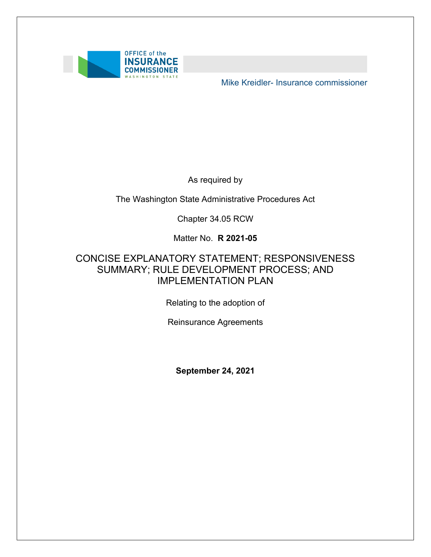

Mike Kreidler- Insurance commissioner

As required by

The Washington State Administrative Procedures Act

Chapter 34.05 RCW

Matter No. **R 2021-05** 

### SUMMARY; RULE DEVELOPMENT PROCESS; AND CONCISE EXPLANATORY STATEMENT; RESPONSIVENESS IMPLEMENTATION PLAN

Relating to the adoption of

Reinsurance Agreements

**September 24, 2021**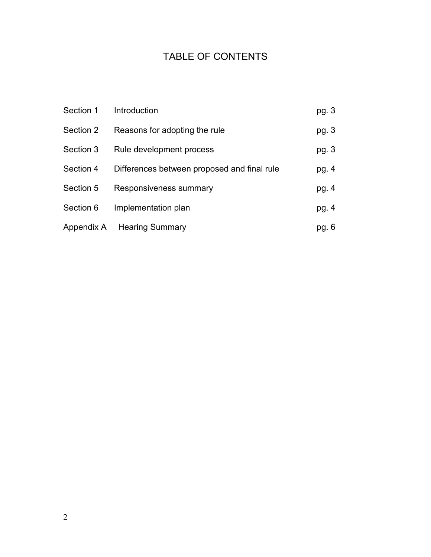# TABLE OF CONTENTS

| Section 1 | Introduction                                | pg. $3$ |
|-----------|---------------------------------------------|---------|
| Section 2 | Reasons for adopting the rule               | pg. $3$ |
| Section 3 | Rule development process                    | pg. $3$ |
| Section 4 | Differences between proposed and final rule | pg. 4   |
| Section 5 | Responsiveness summary                      | pg. 4   |
| Section 6 | Implementation plan                         | pg. $4$ |
|           | Appendix A Hearing Summary                  | pg. 6   |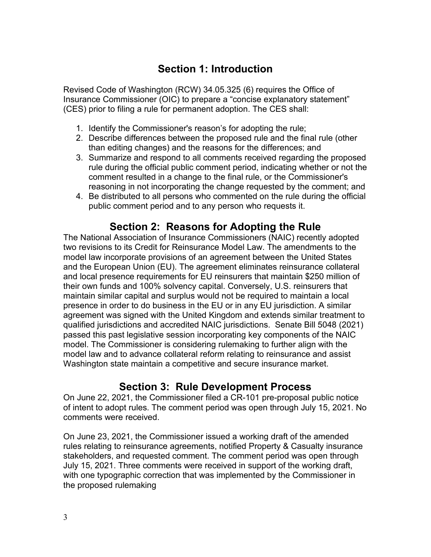## **Section 1: Introduction**

 Revised Code of Washington (RCW) 34.05.325 (6) requires the Office of (CES) prior to filing a rule for permanent adoption. The CES shall: Insurance Commissioner (OIC) to prepare a "concise explanatory statement"

- 1. Identify the Commissioner's reason's for adopting the rule;
- 2. Describe differences between the proposed rule and the final rule (other than editing changes) and the reasons for the differences; and
- 3. Summarize and respond to all comments received regarding the proposed rule during the official public comment period, indicating whether or not the comment resulted in a change to the final rule, or the Commissioner's reasoning in not incorporating the change requested by the comment; and
- 4. Be distributed to all persons who commented on the rule during the official public comment period and to any person who requests it.

## **Section 2: Reasons for Adopting the Rule**

 qualified jurisdictions and accredited NAIC jurisdictions. Senate Bill 5048 (2021) Washington state maintain a competitive and secure insurance market. The National Association of Insurance Commissioners (NAIC) recently adopted two revisions to its Credit for Reinsurance Model Law. The amendments to the model law incorporate provisions of an agreement between the United States and the European Union (EU). The agreement eliminates reinsurance collateral and local presence requirements for EU reinsurers that maintain \$250 million of their own funds and 100% solvency capital. Conversely, U.S. reinsurers that maintain similar capital and surplus would not be required to maintain a local presence in order to do business in the EU or in any EU jurisdiction. A similar agreement was signed with the United Kingdom and extends similar treatment to passed this past legislative session incorporating key components of the NAIC model. The Commissioner is considering rulemaking to further align with the model law and to advance collateral reform relating to reinsurance and assist

## **Section 3: Rule Development Process**

On June 22, 2021, the Commissioner filed a CR-101 pre-proposal public notice of intent to adopt rules. The comment period was open through July 15, 2021. No comments were received.

On June 23, 2021, the Commissioner issued a working draft of the amended rules relating to reinsurance agreements, notified Property & Casualty insurance stakeholders, and requested comment. The comment period was open through July 15, 2021. Three comments were received in support of the working draft, with one typographic correction that was implemented by the Commissioner in the proposed rulemaking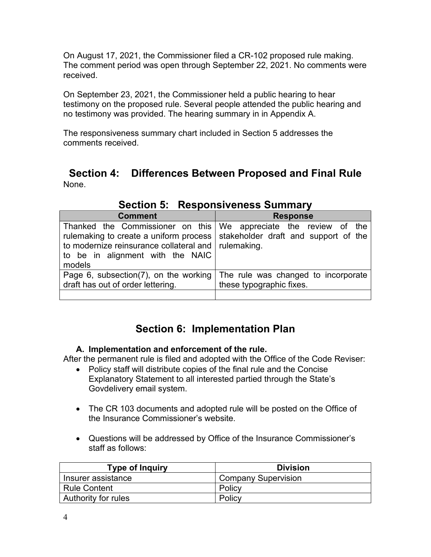On August 17, 2021, the Commissioner filed a CR-102 proposed rule making. The comment period was open through September 22, 2021. No comments were received.

 On September 23, 2021, the Commissioner held a public hearing to hear testimony on the proposed rule. Several people attended the public hearing and no testimony was provided. The hearing summary in in Appendix A.

The responsiveness summary chart included in Section 5 addresses the comments received.

 **Section 4: Differences Between Proposed and Final Rule**  None.

| <b>Comment</b>                                                                                                                                                          | <b>Response</b>                                                                                       |  |  |
|-------------------------------------------------------------------------------------------------------------------------------------------------------------------------|-------------------------------------------------------------------------------------------------------|--|--|
| Thanked the Commissioner on this We appreciate the review of the<br>to modernize reinsurance collateral and   rulemaking.<br>to be in alignment with the NAIC<br>models | rulemaking to create a uniform process stakeholder draft and support of the                           |  |  |
| draft has out of order lettering.                                                                                                                                       | Page 6, subsection(7), on the working The rule was changed to incorporate<br>these typographic fixes. |  |  |
|                                                                                                                                                                         |                                                                                                       |  |  |

**Section 5: Responsiveness Summary** 

# **Section 6: Implementation Plan**

### **A. Implementation and enforcement of the rule.**

After the permanent rule is filed and adopted with the Office of the Code Reviser:

- Policy staff will distribute copies of the final rule and the Concise Explanatory Statement to all interested partied through the State's Govdelivery email system.
- The CR 103 documents and adopted rule will be posted on the Office of the Insurance Commissioner's website.
- Questions will be addressed by Office of the Insurance Commissioner's staff as follows:

| <b>Type of Inquiry</b> | <b>Division</b>            |
|------------------------|----------------------------|
| Insurer assistance     | <b>Company Supervision</b> |
| <b>Rule Content</b>    | Policy                     |
| Authority for rules    | Policy                     |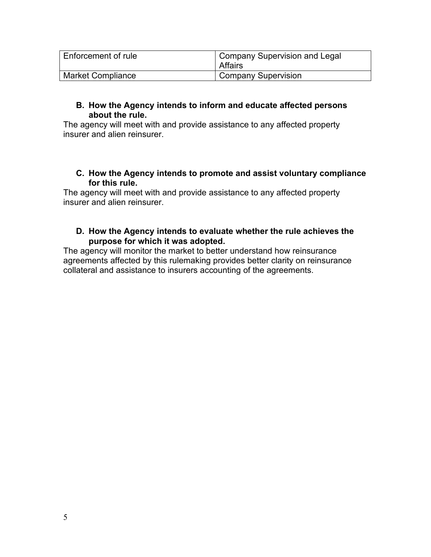| Enforcement of rule      | <b>Company Supervision and Legal</b><br>Affairs |
|--------------------------|-------------------------------------------------|
| <b>Market Compliance</b> | Company Supervision                             |

#### **B. How the Agency intends to inform and educate affected persons about the rule.**

The agency will meet with and provide assistance to any affected property insurer and alien reinsurer.

### **C. How the Agency intends to promote and assist voluntary compliance for this rule.**

 The agency will meet with and provide assistance to any affected property insurer and alien reinsurer.

### **D. How the Agency intends to evaluate whether the rule achieves the purpose for which it was adopted.**

The agency will monitor the market to better understand how reinsurance agreements affected by this rulemaking provides better clarity on reinsurance collateral and assistance to insurers accounting of the agreements.